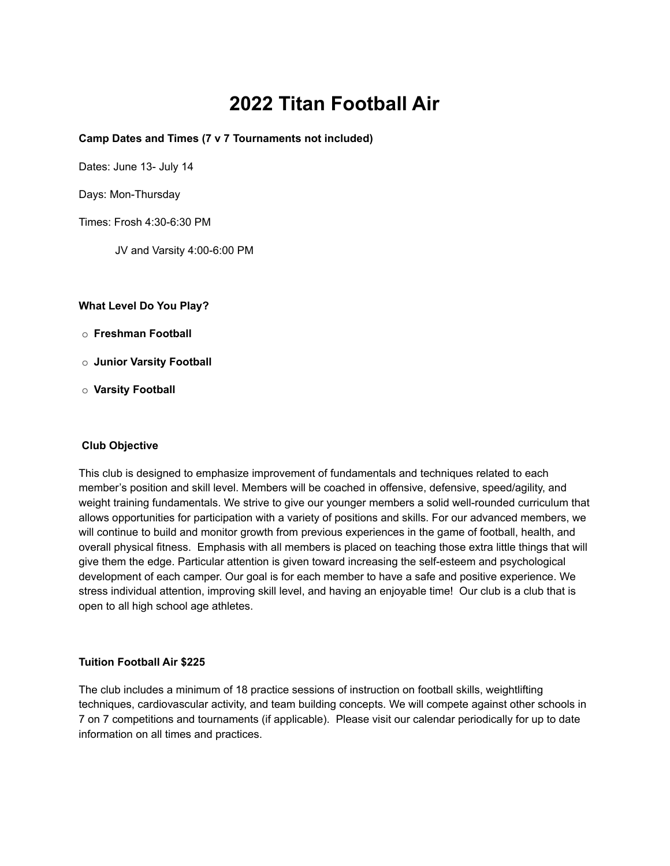## **2022 Titan Football Air**

#### **Camp Dates and Times (7 v 7 Tournaments not included)**

Dates: June 13- July 14

Days: Mon-Thursday

Times: Frosh 4:30-6:30 PM

JV and Varsity 4:00-6:00 PM

**What Level Do You Play?**

- o **Freshman Football**
- o **Junior Varsity Football**
- o **Varsity Football**

#### **Club Objective**

This club is designed to emphasize improvement of fundamentals and techniques related to each member's position and skill level. Members will be coached in offensive, defensive, speed/agility, and weight training fundamentals. We strive to give our younger members a solid well-rounded curriculum that allows opportunities for participation with a variety of positions and skills. For our advanced members, we will continue to build and monitor growth from previous experiences in the game of football, health, and overall physical fitness. Emphasis with all members is placed on teaching those extra little things that will give them the edge. Particular attention is given toward increasing the self-esteem and psychological development of each camper. Our goal is for each member to have a safe and positive experience. We stress individual attention, improving skill level, and having an enjoyable time! Our club is a club that is open to all high school age athletes.

#### **Tuition Football Air \$225**

The club includes a minimum of 18 practice sessions of instruction on football skills, weightlifting techniques, cardiovascular activity, and team building concepts. We will compete against other schools in 7 on 7 competitions and tournaments (if applicable). Please visit our calendar periodically for up to date information on all times and practices.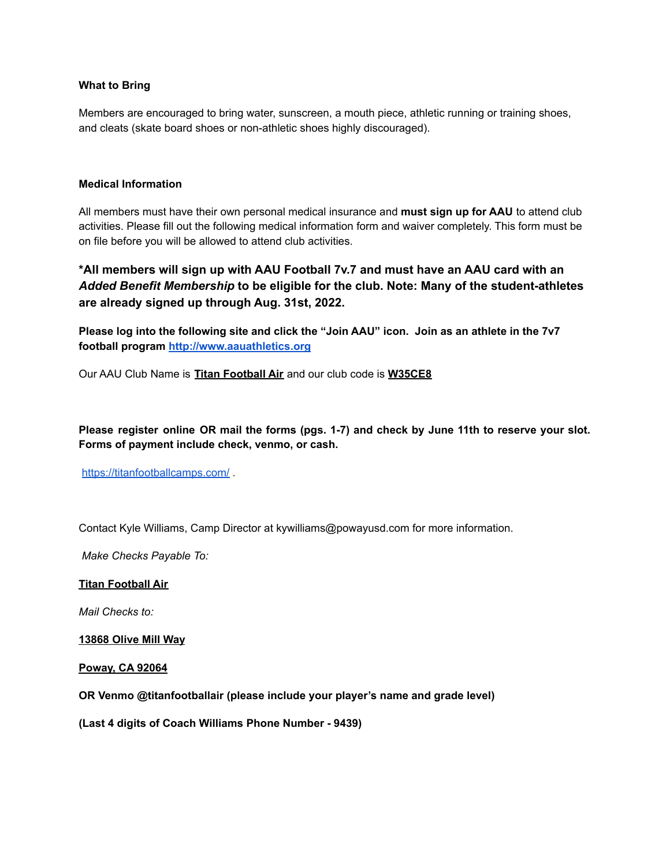#### **What to Bring**

Members are encouraged to bring water, sunscreen, a mouth piece, athletic running or training shoes, and cleats (skate board shoes or non-athletic shoes highly discouraged).

#### **Medical Information**

All members must have their own personal medical insurance and **must sign up for AAU** to attend club activities. Please fill out the following medical information form and waiver completely. This form must be on file before you will be allowed to attend club activities.

**\*All members will sign up with AAU Football 7v.7 and must have an AAU card with an** *Added Benefit Membership* **to be eligible for the club. Note: Many of the student-athletes are already signed up through Aug. 31st, 2022.**

Please log into the following site and click the "Join AAU" icon. Join as an athlete in the 7v7 **football program [http://www.aauathletics.org](http://www.aauathletics.org/)**

Our AAU Club Name is **Titan Football Air** and our club code is **W35CE8**

**Please register online OR mail the forms (pgs. 1-7) and check by June 11th to reserve your slot. Forms of payment include check, venmo, or cash.**

<https://titanfootballcamps.com/>

Contact Kyle Williams, Camp Director at kywilliams@powayusd.com for more information.

*Make Checks Payable To:*

#### **Titan Football Air**

*Mail Checks to:*

**13868 Olive Mill Way**

**Poway, CA 92064**

**OR Venmo @titanfootballair (please include your player's name and grade level)**

**(Last 4 digits of Coach Williams Phone Number - 9439)**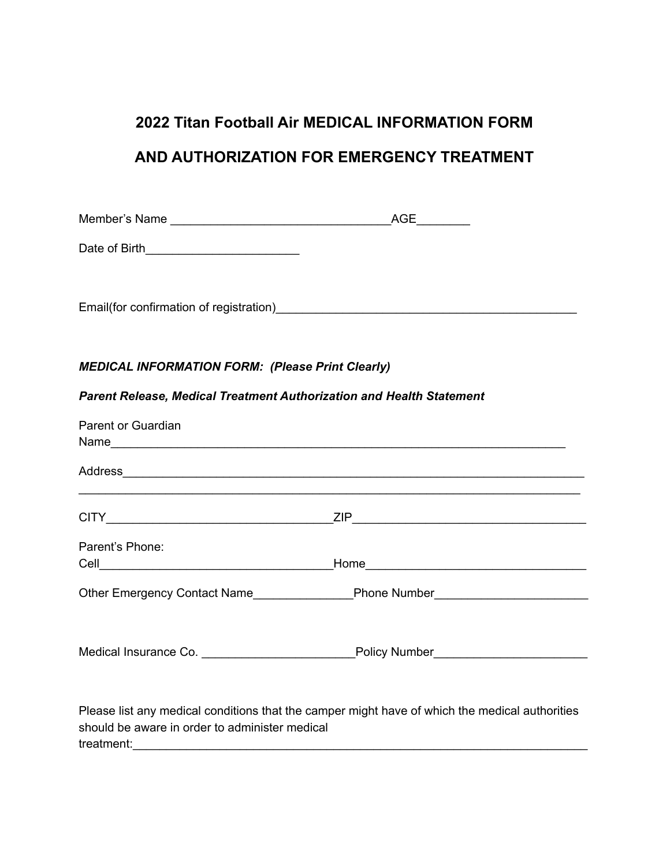# **2022 Titan Football Air MEDICAL INFORMATION FORM AND AUTHORIZATION FOR EMERGENCY TREATMENT**

| Date of Birth_____________________________                           |                                                                                                                                                                                                                                      |
|----------------------------------------------------------------------|--------------------------------------------------------------------------------------------------------------------------------------------------------------------------------------------------------------------------------------|
|                                                                      |                                                                                                                                                                                                                                      |
|                                                                      |                                                                                                                                                                                                                                      |
| <b>MEDICAL INFORMATION FORM: (Please Print Clearly)</b>              |                                                                                                                                                                                                                                      |
| Parent Release, Medical Treatment Authorization and Health Statement |                                                                                                                                                                                                                                      |
| Parent or Guardian                                                   |                                                                                                                                                                                                                                      |
|                                                                      | Address and the contract of the contract of the contract of the contract of the contract of the contract of the contract of the contract of the contract of the contract of the contract of the contract of the contract of th       |
|                                                                      |                                                                                                                                                                                                                                      |
| Parent's Phone:                                                      |                                                                                                                                                                                                                                      |
|                                                                      | Other Emergency Contact Name <b>Example 20 Figure 20 Figure 20 Figure 20 Figure 20 Figure 20 Figure 20 Figure 20 Figure 20 Figure 20 Figure 20 Figure 20 Figure 20 Figure 20 Figure 20 Figure 20 Figure 20 Figure 20 Figure 20 F</b> |
|                                                                      | Medical Insurance Co. ______________________________Policy Number________________                                                                                                                                                    |
| should be aware in order to administer medical                       | Please list any medical conditions that the camper might have of which the medical authorities                                                                                                                                       |

treatment:\_\_\_\_\_\_\_\_\_\_\_\_\_\_\_\_\_\_\_\_\_\_\_\_\_\_\_\_\_\_\_\_\_\_\_\_\_\_\_\_\_\_\_\_\_\_\_\_\_\_\_\_\_\_\_\_\_\_\_\_\_\_\_\_\_\_\_\_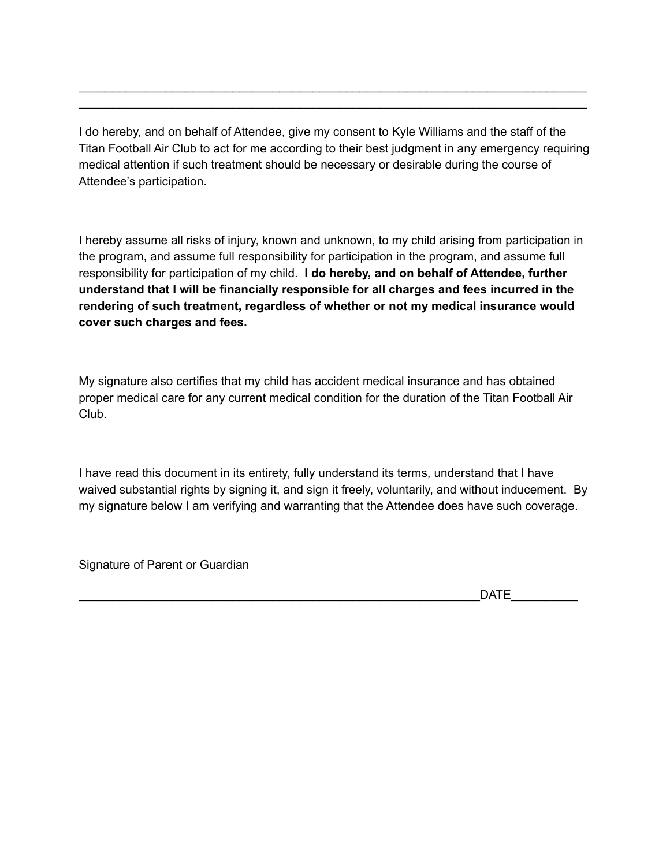I do hereby, and on behalf of Attendee, give my consent to Kyle Williams and the staff of the Titan Football Air Club to act for me according to their best judgment in any emergency requiring medical attention if such treatment should be necessary or desirable during the course of Attendee's participation.

\_\_\_\_\_\_\_\_\_\_\_\_\_\_\_\_\_\_\_\_\_\_\_\_\_\_\_\_\_\_\_\_\_\_\_\_\_\_\_\_\_\_\_\_\_\_\_\_\_\_\_\_\_\_\_\_\_\_\_\_\_\_\_\_\_\_\_\_\_\_\_\_\_\_\_\_ \_\_\_\_\_\_\_\_\_\_\_\_\_\_\_\_\_\_\_\_\_\_\_\_\_\_\_\_\_\_\_\_\_\_\_\_\_\_\_\_\_\_\_\_\_\_\_\_\_\_\_\_\_\_\_\_\_\_\_\_\_\_\_\_\_\_\_\_\_\_\_\_\_\_\_\_

I hereby assume all risks of injury, known and unknown, to my child arising from participation in the program, and assume full responsibility for participation in the program, and assume full responsibility for participation of my child. **I do hereby, and on behalf of Attendee, further understand that I will be financially responsible for all charges and fees incurred in the rendering of such treatment, regardless of whether or not my medical insurance would cover such charges and fees.**

My signature also certifies that my child has accident medical insurance and has obtained proper medical care for any current medical condition for the duration of the Titan Football Air Club.

I have read this document in its entirety, fully understand its terms, understand that I have waived substantial rights by signing it, and sign it freely, voluntarily, and without inducement. By my signature below I am verifying and warranting that the Attendee does have such coverage.

Signature of Parent or Guardian

 $DATE$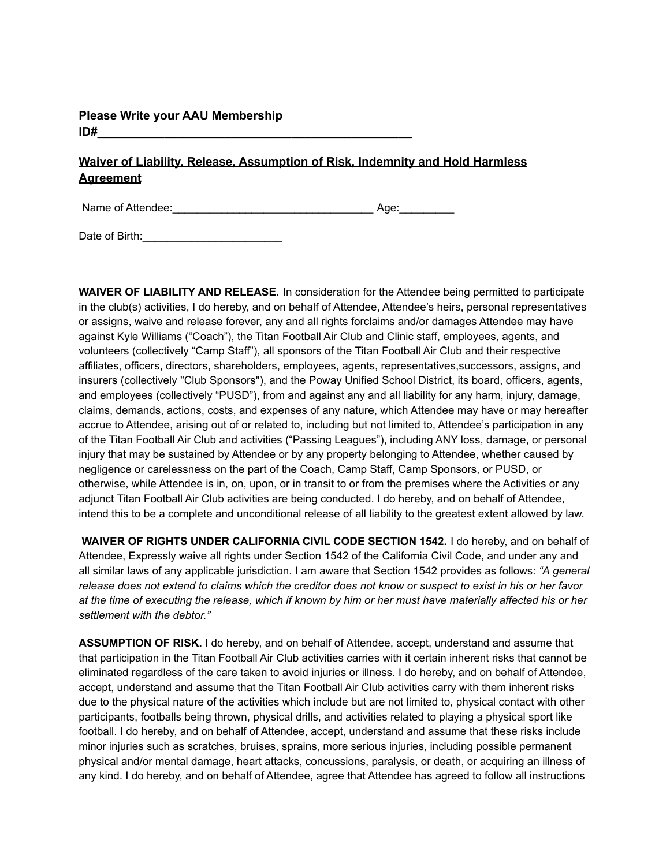### **Please Write your AAU Membership ID#\_\_\_\_\_\_\_\_\_\_\_\_\_\_\_\_\_\_\_\_\_\_\_\_\_\_\_\_\_\_\_\_\_\_\_\_\_\_\_\_\_\_\_\_\_\_\_**

## **Waiver of Liability, Release, Assumption of Risk, Indemnity and Hold Harmless Agreement**

Name of Attendee:\_\_\_\_\_\_\_\_\_\_\_\_\_\_\_\_\_\_\_\_\_\_\_\_\_\_\_\_\_\_\_\_\_ Age:\_\_\_\_\_\_\_\_\_

Date of Birth: Date of Birth:

**WAIVER OF LIABILITY AND RELEASE.** In consideration for the Attendee being permitted to participate in the club(s) activities, I do hereby, and on behalf of Attendee, Attendee's heirs, personal representatives or assigns, waive and release forever, any and all rights forclaims and/or damages Attendee may have against Kyle Williams ("Coach"), the Titan Football Air Club and Clinic staff, employees, agents, and volunteers (collectively "Camp Staff"), all sponsors of the Titan Football Air Club and their respective affiliates, officers, directors, shareholders, employees, agents, representatives,successors, assigns, and insurers (collectively "Club Sponsors"), and the Poway Unified School District, its board, officers, agents, and employees (collectively "PUSD"), from and against any and all liability for any harm, injury, damage, claims, demands, actions, costs, and expenses of any nature, which Attendee may have or may hereafter accrue to Attendee, arising out of or related to, including but not limited to, Attendee's participation in any of the Titan Football Air Club and activities ("Passing Leagues"), including ANY loss, damage, or personal injury that may be sustained by Attendee or by any property belonging to Attendee, whether caused by negligence or carelessness on the part of the Coach, Camp Staff, Camp Sponsors, or PUSD, or otherwise, while Attendee is in, on, upon, or in transit to or from the premises where the Activities or any adjunct Titan Football Air Club activities are being conducted. I do hereby, and on behalf of Attendee, intend this to be a complete and unconditional release of all liability to the greatest extent allowed by law.

**WAIVER OF RIGHTS UNDER CALIFORNIA CIVIL CODE SECTION 1542.** I do hereby, and on behalf of Attendee, Expressly waive all rights under Section 1542 of the California Civil Code, and under any and all similar laws of any applicable jurisdiction. I am aware that Section 1542 provides as follows: *"A general* release does not extend to claims which the creditor does not know or suspect to exist in his or her favor at the time of executing the release, which if known by him or her must have materially affected his or her *settlement with the debtor."*

**ASSUMPTION OF RISK.** I do hereby, and on behalf of Attendee, accept, understand and assume that that participation in the Titan Football Air Club activities carries with it certain inherent risks that cannot be eliminated regardless of the care taken to avoid injuries or illness. I do hereby, and on behalf of Attendee, accept, understand and assume that the Titan Football Air Club activities carry with them inherent risks due to the physical nature of the activities which include but are not limited to, physical contact with other participants, footballs being thrown, physical drills, and activities related to playing a physical sport like football. I do hereby, and on behalf of Attendee, accept, understand and assume that these risks include minor injuries such as scratches, bruises, sprains, more serious injuries, including possible permanent physical and/or mental damage, heart attacks, concussions, paralysis, or death, or acquiring an illness of any kind. I do hereby, and on behalf of Attendee, agree that Attendee has agreed to follow all instructions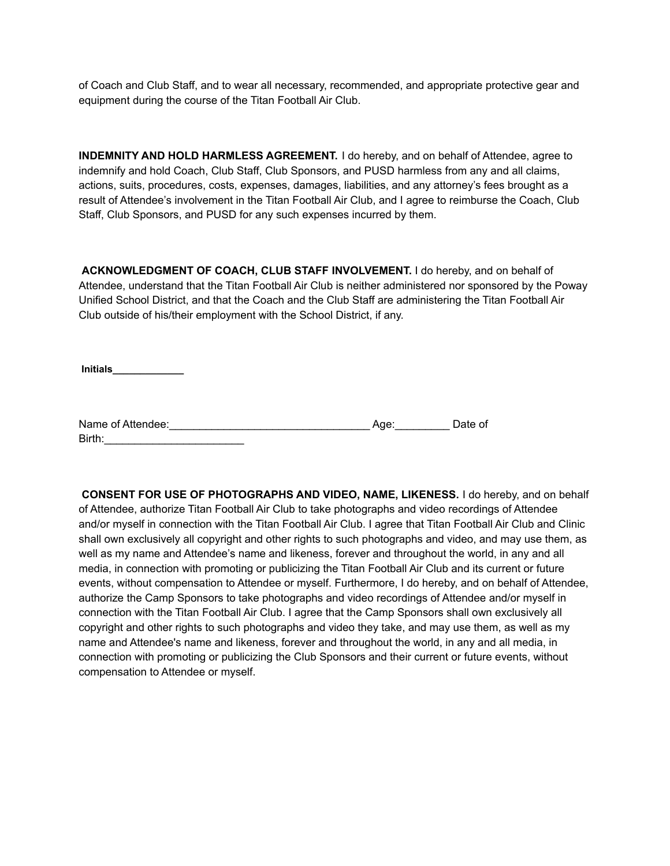of Coach and Club Staff, and to wear all necessary, recommended, and appropriate protective gear and equipment during the course of the Titan Football Air Club.

**INDEMNITY AND HOLD HARMLESS AGREEMENT.** I do hereby, and on behalf of Attendee, agree to indemnify and hold Coach, Club Staff, Club Sponsors, and PUSD harmless from any and all claims, actions, suits, procedures, costs, expenses, damages, liabilities, and any attorney's fees brought as a result of Attendee's involvement in the Titan Football Air Club, and I agree to reimburse the Coach, Club Staff, Club Sponsors, and PUSD for any such expenses incurred by them.

**ACKNOWLEDGMENT OF COACH, CLUB STAFF INVOLVEMENT.** I do hereby, and on behalf of Attendee, understand that the Titan Football Air Club is neither administered nor sponsored by the Poway Unified School District, and that the Coach and the Club Staff are administering the Titan Football Air Club outside of his/their employment with the School District, if any.

**Initials\_\_\_\_\_\_\_\_\_\_\_\_\_**

| Name of Attendee: | Aae: | Date of |
|-------------------|------|---------|
| Birth:            |      |         |

**CONSENT FOR USE OF PHOTOGRAPHS AND VIDEO, NAME, LIKENESS.** I do hereby, and on behalf of Attendee, authorize Titan Football Air Club to take photographs and video recordings of Attendee and/or myself in connection with the Titan Football Air Club. I agree that Titan Football Air Club and Clinic shall own exclusively all copyright and other rights to such photographs and video, and may use them, as well as my name and Attendee's name and likeness, forever and throughout the world, in any and all media, in connection with promoting or publicizing the Titan Football Air Club and its current or future events, without compensation to Attendee or myself. Furthermore, I do hereby, and on behalf of Attendee, authorize the Camp Sponsors to take photographs and video recordings of Attendee and/or myself in connection with the Titan Football Air Club. I agree that the Camp Sponsors shall own exclusively all copyright and other rights to such photographs and video they take, and may use them, as well as my name and Attendee's name and likeness, forever and throughout the world, in any and all media, in connection with promoting or publicizing the Club Sponsors and their current or future events, without compensation to Attendee or myself.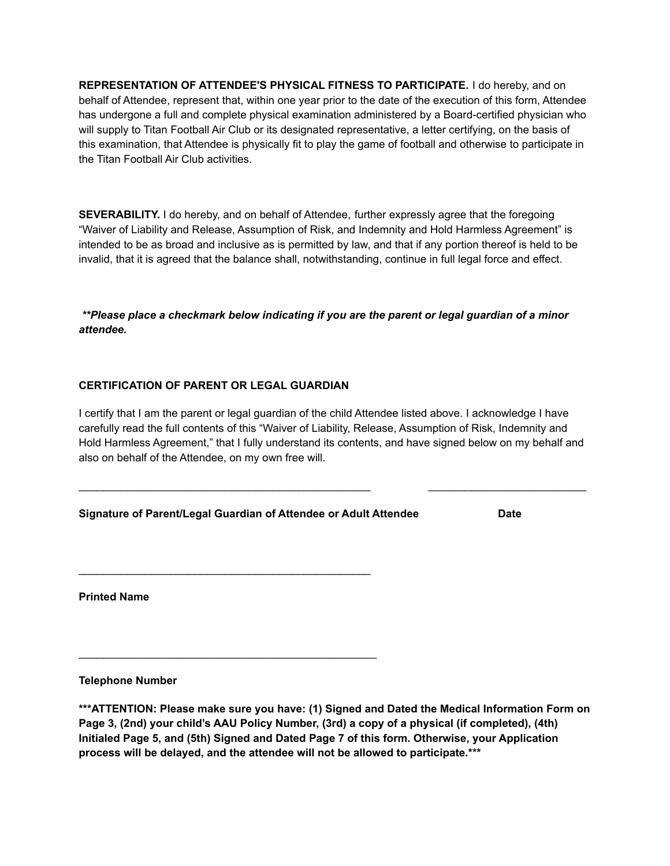**REPRESENTATION OF ATTENDEE'S PHYSICAL FITNESS TO PARTICIPATE.** I do hereby, and on behalf of Attendee, represent that, within one year prior to the date of the execution of this form, Attendee has undergone a full and complete physical examination administered by a Board-certified physician who will supply to Titan Football Air Club or its designated representative, a letter certifying, on the basis of this examination, that Attendee is physically fit to play the game of football and otherwise to participate in the Titan Football Air Club activities.

**SEVERABILITY.** I do hereby, and on behalf of Attendee, further expressly agree that the foregoing "Waiver of Liability and Release, Assumption of Risk, and Indemnity and Hold Harmless Agreement" is intended to be as broad and inclusive as is permitted by law, and that if any portion thereof is held to be invalid, that it is agreed that the balance shall, notwithstanding, continue in full legal force and effect.

*\*\*Please place a checkmark below indicating if you are the parent or legal guardian of a minor attendee.*

#### **CERTIFICATION OF PARENT OR LEGAL GUARDIAN**

I certify that I am the parent or legal guardian of the child Attendee listed above. I acknowledge I have carefully read the full contents of this "Waiver of Liability, Release, Assumption of Risk, Indemnity and Hold Harmless Agreement," that I fully understand its contents, and have signed below on my behalf and also on behalf of the Attendee, on my own free will.

 $\mathcal{L}_\text{max}$  , and the set of the set of the set of the set of the set of the set of the set of the set of the set of the set of the set of the set of the set of the set of the set of the set of the set of the set of the

#### **Signature of Parent/Legal Guardian of Attendee or Adult Attendee Date**

 $\mathcal{L}_\text{max}$  , and the set of the set of the set of the set of the set of the set of the set of the set of the set of the set of the set of the set of the set of the set of the set of the set of the set of the set of the

 $\mathcal{L}_\text{max}$  , and the contract of the contract of the contract of the contract of the contract of the contract of the contract of the contract of the contract of the contract of the contract of the contract of the contr

**Printed Name**

**Telephone Number**

**\*\*\*ATTENTION: Please make sure you have: (1) Signed and Dated the Medical Information Form on Page 3, (2nd) your child's AAU Policy Number, (3rd) a copy of a physical (if completed), (4th) Initialed Page 5, and (5th) Signed and Dated Page 7 of this form. Otherwise, your Application process will be delayed, and the attendee will not be allowed to participate.\*\*\***